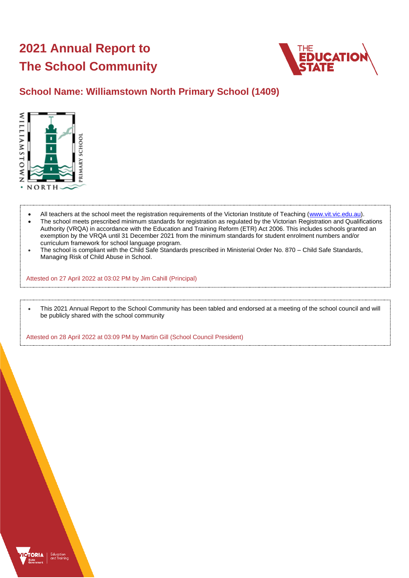# **2021 Annual Report to The School Community**



## **School Name: Williamstown North Primary School (1409)**



- All teachers at the school meet the registration requirements of the Victorian Institute of Teaching [\(www.vit.vic.edu.au\)](https://www.vit.vic.edu.au/).
- The school meets prescribed minimum standards for registration as regulated by the Victorian Registration and Qualifications Authority (VRQA) in accordance with the Education and Training Reform (ETR) Act 2006. This includes schools granted an exemption by the VRQA until 31 December 2021 from the minimum standards for student enrolment numbers and/or curriculum framework for school language program.
- The school is compliant with the Child Safe Standards prescribed in Ministerial Order No. 870 Child Safe Standards, Managing Risk of Child Abuse in School.

Attested on 27 April 2022 at 03:02 PM by Jim Cahill (Principal)

• This 2021 Annual Report to the School Community has been tabled and endorsed at a meeting of the school council and will be publicly shared with the school community

Attested on 28 April 2022 at 03:09 PM by Martin Gill (School Council President)

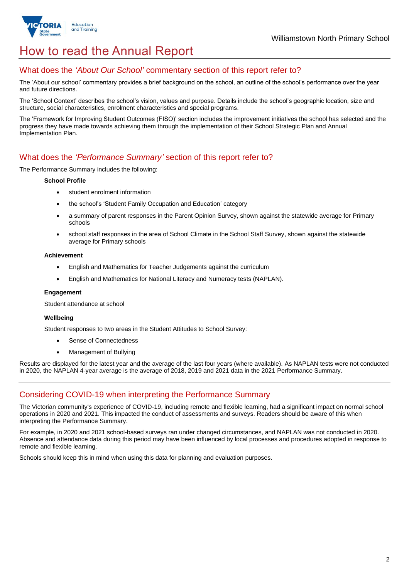

## How to read the Annual Report

### What does the *'About Our School'* commentary section of this report refer to?

The 'About our school' commentary provides a brief background on the school, an outline of the school's performance over the year and future directions.

The 'School Context' describes the school's vision, values and purpose. Details include the school's geographic location, size and structure, social characteristics, enrolment characteristics and special programs.

The 'Framework for Improving Student Outcomes (FISO)' section includes the improvement initiatives the school has selected and the progress they have made towards achieving them through the implementation of their School Strategic Plan and Annual Implementation Plan.

### What does the *'Performance Summary'* section of this report refer to?

The Performance Summary includes the following:

#### **School Profile**

- student enrolment information
- the school's 'Student Family Occupation and Education' category
- a summary of parent responses in the Parent Opinion Survey, shown against the statewide average for Primary schools
- school staff responses in the area of School Climate in the School Staff Survey, shown against the statewide average for Primary schools

#### **Achievement**

- English and Mathematics for Teacher Judgements against the curriculum
- English and Mathematics for National Literacy and Numeracy tests (NAPLAN).

#### **Engagement**

Student attendance at school

#### **Wellbeing**

Student responses to two areas in the Student Attitudes to School Survey:

- Sense of Connectedness
- Management of Bullying

Results are displayed for the latest year and the average of the last four years (where available). As NAPLAN tests were not conducted in 2020, the NAPLAN 4-year average is the average of 2018, 2019 and 2021 data in the 2021 Performance Summary.

## Considering COVID-19 when interpreting the Performance Summary

The Victorian community's experience of COVID-19, including remote and flexible learning, had a significant impact on normal school operations in 2020 and 2021. This impacted the conduct of assessments and surveys. Readers should be aware of this when interpreting the Performance Summary.

For example, in 2020 and 2021 school-based surveys ran under changed circumstances, and NAPLAN was not conducted in 2020. Absence and attendance data during this period may have been influenced by local processes and procedures adopted in response to remote and flexible learning.

Schools should keep this in mind when using this data for planning and evaluation purposes.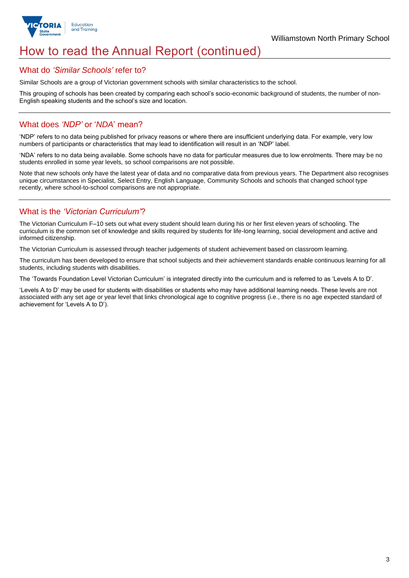

## How to read the Annual Report (continued)

#### What do *'Similar Schools'* refer to?

Similar Schools are a group of Victorian government schools with similar characteristics to the school.

This grouping of schools has been created by comparing each school's socio-economic background of students, the number of non-English speaking students and the school's size and location.

### What does *'NDP'* or '*NDA*' mean?

'NDP' refers to no data being published for privacy reasons or where there are insufficient underlying data. For example, very low numbers of participants or characteristics that may lead to identification will result in an 'NDP' label.

'NDA' refers to no data being available. Some schools have no data for particular measures due to low enrolments. There may be no students enrolled in some year levels, so school comparisons are not possible.

Note that new schools only have the latest year of data and no comparative data from previous years. The Department also recognises unique circumstances in Specialist, Select Entry, English Language, Community Schools and schools that changed school type recently, where school-to-school comparisons are not appropriate.

## What is the *'Victorian Curriculum'*?

The Victorian Curriculum F–10 sets out what every student should learn during his or her first eleven years of schooling. The curriculum is the common set of knowledge and skills required by students for life-long learning, social development and active and informed citizenship.

The Victorian Curriculum is assessed through teacher judgements of student achievement based on classroom learning.

The curriculum has been developed to ensure that school subjects and their achievement standards enable continuous learning for all students, including students with disabilities.

The 'Towards Foundation Level Victorian Curriculum' is integrated directly into the curriculum and is referred to as 'Levels A to D'.

'Levels A to D' may be used for students with disabilities or students who may have additional learning needs. These levels are not associated with any set age or year level that links chronological age to cognitive progress (i.e., there is no age expected standard of achievement for 'Levels A to D').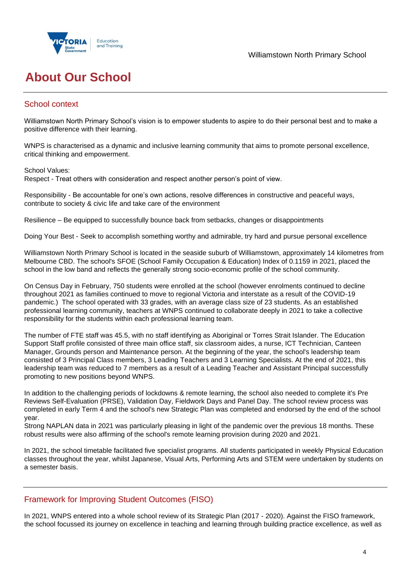

Williamstown North Primary School

## **About Our School**

## School context

Williamstown North Primary School's vision is to empower students to aspire to do their personal best and to make a positive difference with their learning.

WNPS is characterised as a dynamic and inclusive learning community that aims to promote personal excellence, critical thinking and empowerment.

School Values:

Respect - Treat others with consideration and respect another person's point of view.

Responsibility - Be accountable for one's own actions, resolve differences in constructive and peaceful ways, contribute to society & civic life and take care of the environment

Resilience – Be equipped to successfully bounce back from setbacks, changes or disappointments

Doing Your Best - Seek to accomplish something worthy and admirable, try hard and pursue personal excellence

Williamstown North Primary School is located in the seaside suburb of Williamstown, approximately 14 kilometres from Melbourne CBD. The school's SFOE (School Family Occupation & Education) Index of 0.1159 in 2021, placed the school in the low band and reflects the generally strong socio-economic profile of the school community.

On Census Day in February, 750 students were enrolled at the school (however enrolments continued to decline throughout 2021 as families continued to move to regional Victoria and interstate as a result of the COVID-19 pandemic.) The school operated with 33 grades, with an average class size of 23 students. As an established professional learning community, teachers at WNPS continued to collaborate deeply in 2021 to take a collective responsibility for the students within each professional learning team.

The number of FTE staff was 45.5, with no staff identifying as Aboriginal or Torres Strait Islander. The Education Support Staff profile consisted of three main office staff, six classroom aides, a nurse, ICT Technician, Canteen Manager, Grounds person and Maintenance person. At the beginning of the year, the school's leadership team consisted of 3 Principal Class members, 3 Leading Teachers and 3 Learning Specialists. At the end of 2021, this leadership team was reduced to 7 members as a result of a Leading Teacher and Assistant Principal successfully promoting to new positions beyond WNPS.

In addition to the challenging periods of lockdowns & remote learning, the school also needed to complete it's Pre Reviews Self-Evaluation (PRSE), Validation Day, Fieldwork Days and Panel Day. The school review process was completed in early Term 4 and the school's new Strategic Plan was completed and endorsed by the end of the school year.

Strong NAPLAN data in 2021 was particularly pleasing in light of the pandemic over the previous 18 months. These robust results were also affirming of the school's remote learning provision during 2020 and 2021.

In 2021, the school timetable facilitated five specialist programs. All students participated in weekly Physical Education classes throughout the year, whilst Japanese, Visual Arts, Performing Arts and STEM were undertaken by students on a semester basis.

## Framework for Improving Student Outcomes (FISO)

In 2021, WNPS entered into a whole school review of its Strategic Plan (2017 - 2020). Against the FISO framework, the school focussed its journey on excellence in teaching and learning through building practice excellence, as well as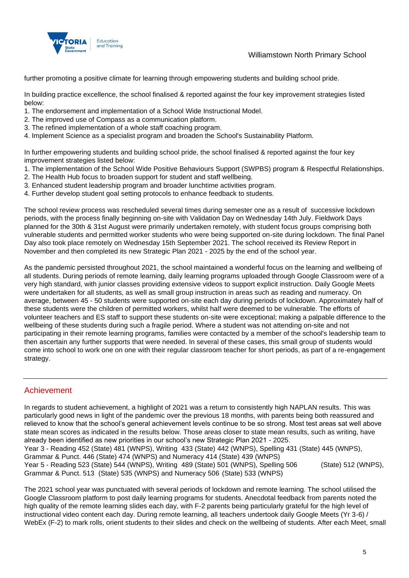

Williamstown North Primary School

further promoting a positive climate for learning through empowering students and building school pride.

In building practice excellence, the school finalised & reported against the four key improvement strategies listed below:

- 1. The endorsement and implementation of a School Wide Instructional Model.
- 2. The improved use of Compass as a communication platform.
- 3. The refined implementation of a whole staff coaching program.
- 4. Implement Science as a specialist program and broaden the School's Sustainability Platform.

In further empowering students and building school pride, the school finalised & reported against the four key improvement strategies listed below:

- 1. The implementation of the School Wide Positive Behaviours Support (SWPBS) program & Respectful Relationships.
- 2. The Health Hub focus to broaden support for student and staff wellbeing.
- 3. Enhanced student leadership program and broader lunchtime activities program.
- 4. Further develop student goal setting protocols to enhance feedback to students.

The school review process was rescheduled several times during semester one as a result of successive lockdown periods, with the process finally beginning on-site with Validation Day on Wednesday 14th July. Fieldwork Days planned for the 30th & 31st August were primarily undertaken remotely, with student focus groups comprising both vulnerable students and permitted worker students who were being supported on-site during lockdown. The final Panel Day also took place remotely on Wednesday 15th September 2021. The school received its Review Report in November and then completed its new Strategic Plan 2021 - 2025 by the end of the school year.

As the pandemic persisted throughout 2021, the school maintained a wonderful focus on the learning and wellbeing of all students. During periods of remote learning, daily learning programs uploaded through Google Classroom were of a very high standard, with junior classes providing extensive videos to support explicit instruction. Daily Google Meets were undertaken for all students, as well as small group instruction in areas such as reading and numeracy. On average, between 45 - 50 students were supported on-site each day during periods of lockdown. Approximately half of these students were the children of permitted workers, whilst half were deemed to be vulnerable. The efforts of volunteer teachers and ES staff to support these students on-site were exceptional; making a palpable difference to the wellbeing of these students during such a fragile period. Where a student was not attending on-site and not participating in their remote learning programs, families were contacted by a member of the school's leadership team to then ascertain any further supports that were needed. In several of these cases, this small group of students would come into school to work one on one with their regular classroom teacher for short periods, as part of a re-engagement strategy.

## Achievement

In regards to student achievement, a highlight of 2021 was a return to consistently high NAPLAN results. This was particularly good news in light of the pandemic over the previous 18 months, with parents being both reassured and relieved to know that the school's general achievement levels continue to be so strong. Most test areas sat well above state mean scores as indicated in the results below. Those areas closer to state mean results, such as writing, have already been identified as new priorities in our school's new Strategic Plan 2021 - 2025. Year 3 - Reading 452 (State) 481 (WNPS), Writing 433 (State) 442 (WNPS), Spelling 431 (State) 445 (WNPS), Grammar & Punct. 446 (State) 474 (WNPS) and Numeracy 414 (State) 439 (WNPS) Year 5 - Reading 523 (State) 544 (WNPS), Writing 489 (State) 501 (WNPS), Spelling 506 (State) 512 (WNPS), Grammar & Punct. 513 (State) 535 (WNPS) and Numeracy 506 (State) 533 (WNPS)

The 2021 school year was punctuated with several periods of lockdown and remote learning. The school utilised the Google Classroom platform to post daily learning programs for students. Anecdotal feedback from parents noted the high quality of the remote learning slides each day, with F-2 parents being particularly grateful for the high level of instructional video content each day. During remote learning, all teachers undertook daily Google Meets (Yr 3-6) / WebEx (F-2) to mark rolls, orient students to their slides and check on the wellbeing of students. After each Meet, small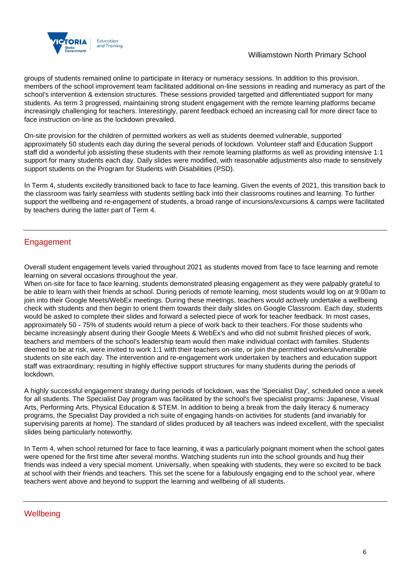

groups of students remained online to participate in literacy or numeracy sessions. In addition to this provision, members of the school improvement team facilitated additional on-line sessions in reading and numeracy as part of the school's intervention & extension structures. These sessions provided targetted and differentiated support for many students. As term 3 progressed, maintaining strong student engagement with the remote learning platforms became increasingly challenging for teachers. Interestingly, parent feedback echoed an increasing call for more direct face to face instruction on-line as the lockdown prevailed.

On-site provision for the children of permitted workers as well as students deemed vulnerable, supported approximately 50 students each day during the several periods of lockdown. Volunteer staff and Education Support staff did a wonderful job assisting these students with their remote learning platforms as well as providing intensive 1:1 support for many students each day. Daily slides were modified, with reasonable adjustments also made to sensitively support students on the Program for Students with Disabilities (PSD).

In Term 4, students excitedly transitioned back to face to face learning. Given the events of 2021, this transition back to the classroom was fairly seamless with students settling back into their classrooms routines and learning. To further support the wellbeing and re-engagement of students, a broad range of incursions/excursions & camps were facilitated by teachers during the latter part of Term 4.

## Engagement

Overall student engagement levels varied throughout 2021 as students moved from face to face learning and remote learning on several occasions throughout the year.

When on-site for face to face learning, students demonstrated pleasing engagement as they were palpably grateful to be able to learn with their friends at school. During periods of remote learning, most students would log on at 9:00am to join into their Google Meets/WebEx meetings. During these meetings, teachers would actively undertake a wellbeing check with students and then begin to orient them towards their daily slides on Google Classroom. Each day, students would be asked to complete their slides and forward a selected piece of work for teacher feedback. In most cases, approximately 50 - 75% of students would return a piece of work back to their teachers. For those students who became increasingly absent during their Google Meets & WebEx's and who did not submit finished pieces of work, teachers and members of the school's leadership team would then make individual contact with families. Students deemed to be at risk, were invited to work 1:1 with their teachers on-site, or join the permitted workers/vulnerable students on site each day. The intervention and re-engagement work undertaken by teachers and education support staff was extraordinary; resulting in highly effective support structures for many students during the periods of lockdown.

A highly successful engagement strategy during periods of lockdown, was the 'Specialist Day', scheduled once a week for all students. The Specialist Day program was facilitated by the school's five specialist programs: Japanese, Visual Arts, Performing Arts, Physical Education & STEM. In addition to being a break from the daily literacy & numeracy programs, the Specialist Day provided a rich suite of engaging hands-on activities for students (and invariably for supervising parents at home). The standard of slides produced by all teachers was indeed excellent, with the specialist slides being particularly noteworthy.

In Term 4, when school returned for face to face learning, it was a particularly poignant moment when the school gates were opened for the first time after several months. Watching students run into the school grounds and hug their friends was indeed a very special moment. Universally, when speaking with students, they were so excited to be back at school with their friends and teachers. This set the scene for a fabulously engaging end to the school year, where teachers went above and beyond to support the learning and wellbeing of all students.

**Wellbeing**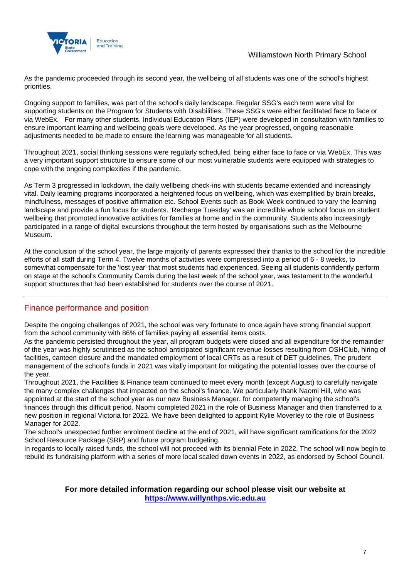

As the pandemic proceeded through its second year, the wellbeing of all students was one of the school's highest priorities.

Ongoing support to families, was part of the school's daily landscape. Regular SSG's each term were vital for supporting students on the Program for Students with Disabilities. These SSG's were either facilitated face to face or via WebEx. For many other students, Individual Education Plans (IEP) were developed in consultation with families to ensure important learning and wellbeing goals were developed. As the year progressed, ongoing reasonable adjustments needed to be made to ensure the learning was manageable for all students.

Throughout 2021, social thinking sessions were regularly scheduled, being either face to face or via WebEx. This was a very important support structure to ensure some of our most vulnerable students were equipped with strategies to cope with the ongoing complexities if the pandemic.

As Term 3 progressed in lockdown, the daily wellbeing check-ins with students became extended and increasingly vital. Daily learning programs incorporated a heightened focus on wellbeing, which was exemplified by brain breaks, mindfulness, messages of positive affirmation etc. School Events such as Book Week continued to vary the learning landscape and provide a fun focus for students. 'Recharge Tuesday' was an incredible whole school focus on student wellbeing that promoted innovative activities for families at home and in the community. Students also increasingly participated in a range of digital excursions throughout the term hosted by organisations such as the Melbourne Museum.

At the conclusion of the school year, the large majority of parents expressed their thanks to the school for the incredible efforts of all staff during Term 4. Twelve months of activities were compressed into a period of 6 - 8 weeks, to somewhat compensate for the 'lost year' that most students had experienced. Seeing all students confidently perform on stage at the school's Community Carols during the last week of the school year, was testament to the wonderful support structures that had been established for students over the course of 2021.

## Finance performance and position

Despite the ongoing challenges of 2021, the school was very fortunate to once again have strong financial support from the school community with 86% of families paying all essential items costs.

As the pandemic persisted throughout the year, all program budgets were closed and all expenditure for the remainder of the year was highly scrutinised as the school anticipated significant revenue losses resulting from OSHClub, hiring of facilities, canteen closure and the mandated employment of local CRTs as a result of DET guidelines. The prudent management of the school's funds in 2021 was vitally important for mitigating the potential losses over the course of the year.

Throughout 2021, the Facilities & Finance team continued to meet every month (except August) to carefully navigate the many complex challenges that impacted on the school's finance. We particularly thank Naomi Hill, who was appointed at the start of the school year as our new Business Manager, for competently managing the school's finances through this difficult period. Naomi completed 2021 in the role of Business Manager and then transferred to a new position in regional Victoria for 2022. We have been delighted to appoint Kylie Moverley to the role of Business Manager for 2022.

The school's unexpected further enrolment decline at the end of 2021, will have significant ramifications for the 2022 School Resource Package (SRP) and future program budgeting.

In regards to locally raised funds, the school will not proceed with its biennial Fete in 2022. The school will now begin to rebuild its fundraising platform with a series of more local scaled down events in 2022, as endorsed by School Council.

#### **For more detailed information regarding our school please visit our website at [https://www.willynthps.vic.edu.au](https://www.willynthps.vic.edu.au/)**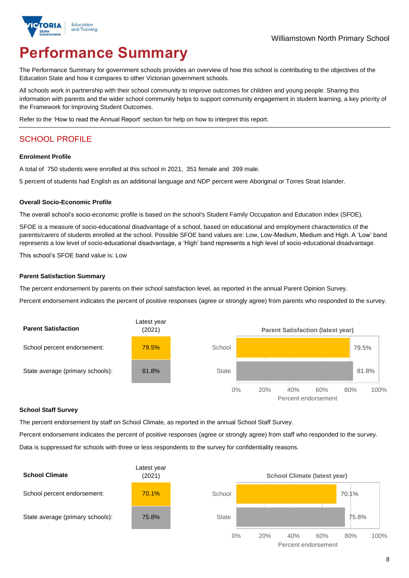

# **Performance Summary**

The Performance Summary for government schools provides an overview of how this school is contributing to the objectives of the Education State and how it compares to other Victorian government schools.

All schools work in partnership with their school community to improve outcomes for children and young people. Sharing this information with parents and the wider school community helps to support community engagement in student learning, a key priority of the Framework for Improving Student Outcomes.

Refer to the 'How to read the Annual Report' section for help on how to interpret this report.

## SCHOOL PROFILE

#### **Enrolment Profile**

A total of 750 students were enrolled at this school in 2021, 351 female and 399 male.

5 percent of students had English as an additional language and NDP percent were Aboriginal or Torres Strait Islander.

#### **Overall Socio-Economic Profile**

The overall school's socio-economic profile is based on the school's Student Family Occupation and Education index (SFOE).

SFOE is a measure of socio-educational disadvantage of a school, based on educational and employment characteristics of the parents/carers of students enrolled at the school. Possible SFOE band values are: Low, Low-Medium, Medium and High. A 'Low' band represents a low level of socio-educational disadvantage, a 'High' band represents a high level of socio-educational disadvantage.

This school's SFOE band value is: Low

#### **Parent Satisfaction Summary**

The percent endorsement by parents on their school satisfaction level, as reported in the annual Parent Opinion Survey.

Percent endorsement indicates the percent of positive responses (agree or strongly agree) from parents who responded to the survey.



#### **School Staff Survey**

The percent endorsement by staff on School Climate, as reported in the annual School Staff Survey.

Percent endorsement indicates the percent of positive responses (agree or strongly agree) from staff who responded to the survey. Data is suppressed for schools with three or less respondents to the survey for confidentiality reasons.

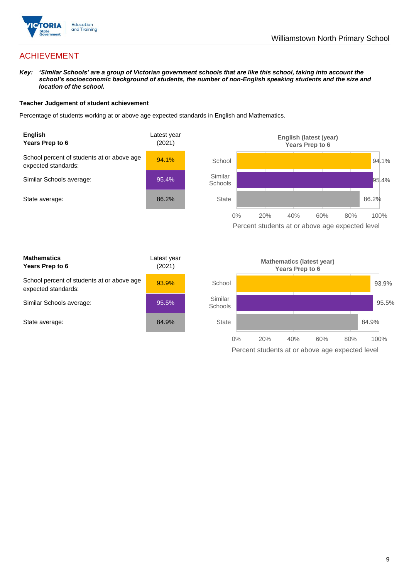

## ACHIEVEMENT

*Key: 'Similar Schools' are a group of Victorian government schools that are like this school, taking into account the school's socioeconomic background of students, the number of non-English speaking students and the size and location of the school.*

#### **Teacher Judgement of student achievement**

Percentage of students working at or above age expected standards in English and Mathematics.



Percent students at or above age expected level

| <b>Mathematics</b><br>Years Prep to 6                             | Latest year<br>(2021) |
|-------------------------------------------------------------------|-----------------------|
| School percent of students at or above age<br>expected standards: | 93.9%                 |
| Similar Schools average:                                          | 95.5%                 |
| State average:                                                    | 84.9%                 |

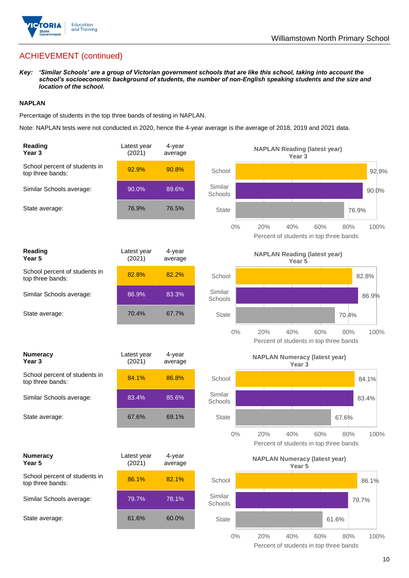

## ACHIEVEMENT (continued)

*Key: 'Similar Schools' are a group of Victorian government schools that are like this school, taking into account the school's socioeconomic background of students, the number of non-English speaking students and the size and location of the school.*

#### **NAPLAN**

Percentage of students in the top three bands of testing in NAPLAN.

Note: NAPLAN tests were not conducted in 2020, hence the 4-year average is the average of 2018, 2019 and 2021 data.

| Reading<br>Year <sub>3</sub>                      | Latest year<br>(2021) | 4-year<br>average |                    | <b>NAPLAN Reading (latest year)</b><br>Year 3                              |
|---------------------------------------------------|-----------------------|-------------------|--------------------|----------------------------------------------------------------------------|
| School percent of students in<br>top three bands: | 92.9%                 | 90.8%             | School             | 92.9%                                                                      |
| Similar Schools average:                          | 90.0%                 | 89.6%             | Similar<br>Schools | 90.0%                                                                      |
| State average:                                    | 76.9%                 | 76.5%             | <b>State</b>       | 76.9%                                                                      |
|                                                   |                       |                   | $0\%$              | 20%<br>40%<br>60%<br>100%<br>80%<br>Percent of students in top three bands |
| Reading<br>Year 5                                 | Latest year<br>(2021) | 4-year<br>average |                    | <b>NAPLAN Reading (latest year)</b><br>Year <sub>5</sub>                   |
| School percent of students in<br>top three bands: | 82.8%                 | 82.2%             | School             | 82.8%                                                                      |
| Similar Schools average:                          | 86.9%                 | 83.3%             | Similar<br>Schools | 86.9%                                                                      |
| State average:                                    | 70.4%                 | 67.7%             | <b>State</b>       | 70.4%                                                                      |
|                                                   |                       |                   | $0\%$              | 20%<br>40%<br>60%<br>100%<br>80%<br>Percent of students in top three bands |
| <b>Numeracy</b><br>Year <sub>3</sub>              | Latest year<br>(2021) | 4-year<br>average |                    | <b>NAPLAN Numeracy (latest year)</b><br>Year <sub>3</sub>                  |
| School percent of students in<br>top three bands: | 84.1%                 | 86.8%             | School             | 84.1%                                                                      |
| Similar Schools average:                          | 83.4%                 | 85.6%             | Similar<br>Schools | 83.4%                                                                      |
| State average:                                    | 67.6%                 | 69.1%             | <b>State</b>       | 67.6%                                                                      |
|                                                   |                       |                   | 0%                 | 20%<br>40%<br>60%<br>80%<br>100%<br>Percent of students in top three bands |
| <b>Numeracy</b><br>Year 5                         | Latest year<br>(2021) | 4-year<br>average |                    | <b>NAPLAN Numeracy (latest year)</b><br>Year 5                             |
| School percent of students in<br>top three bands: | 86.1%                 | 82.1%             | School             | 86.1%                                                                      |
| Similar Schools average:                          | 79.7%                 | 78.1%             | Similar<br>Schools | 79.7%                                                                      |
| State average:                                    | 61.6%                 | 60.0%             | <b>State</b>       | 61.6%                                                                      |
|                                                   |                       |                   | $0\%$              | 20%<br>40%<br>60%<br>80%<br>100%                                           |

Percent of students in top three bands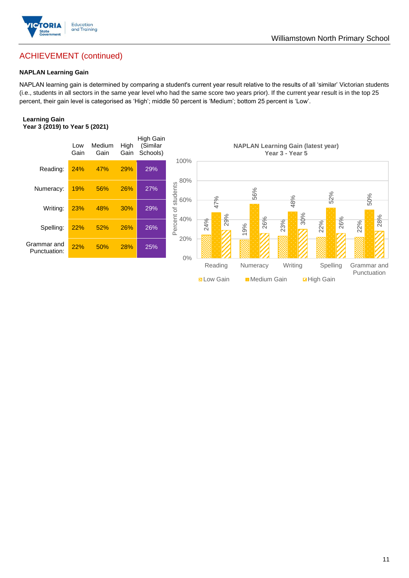

### Williamstown North Primary School

## ACHIEVEMENT (continued)

#### **NAPLAN Learning Gain**

NAPLAN learning gain is determined by comparing a student's current year result relative to the results of all 'similar' Victorian students (i.e., students in all sectors in the same year level who had the same score two years prior). If the current year result is in the top 25 percent, their gain level is categorised as 'High'; middle 50 percent is 'Medium'; bottom 25 percent is 'Low'.

#### **Learning Gain Year 3 (2019) to Year 5 (2021)**



**N** Low Gain **Medium Gain High Gain**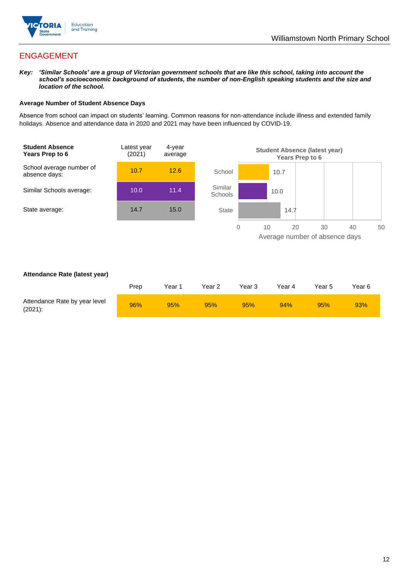

## ENGAGEMENT

*Key: 'Similar Schools' are a group of Victorian government schools that are like this school, taking into account the school's socioeconomic background of students, the number of non-English speaking students and the size and location of the school.*

#### **Average Number of Student Absence Days**

Absence from school can impact on students' learning. Common reasons for non-attendance include illness and extended family holidays. Absence and attendance data in 2020 and 2021 may have been influenced by COVID-19.



#### **Attendance Rate (latest year)**

|                                             | Prep | Year 1 | Year 2 | Year 3 | Year 4 | Year 5 | Year 6 |
|---------------------------------------------|------|--------|--------|--------|--------|--------|--------|
| Attendance Rate by year level<br>$(2021)$ : | 96%  | 95%    | 95%    | 95%    | 94%    | 95%    | 93%    |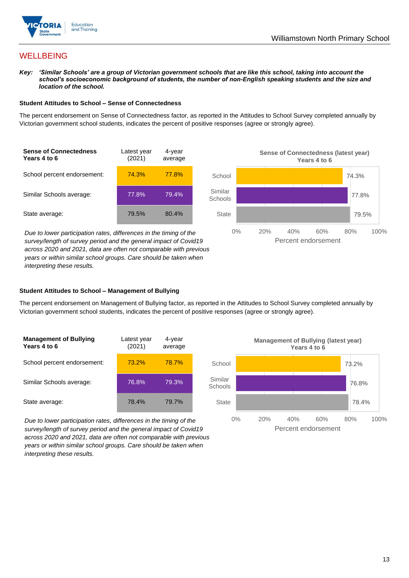

## **WELLBEING**

*Key: 'Similar Schools' are a group of Victorian government schools that are like this school, taking into account the school's socioeconomic background of students, the number of non-English speaking students and the size and location of the school.*

#### **Student Attitudes to School – Sense of Connectedness**

The percent endorsement on Sense of Connectedness factor, as reported in the Attitudes to School Survey completed annually by Victorian government school students, indicates the percent of positive responses (agree or strongly agree).



*Due to lower participation rates, differences in the timing of the survey/length of survey period and the general impact of Covid19 across 2020 and 2021, data are often not comparable with previous years or within similar school groups. Care should be taken when interpreting these results.*



#### **Student Attitudes to School – Management of Bullying**

The percent endorsement on Management of Bullying factor, as reported in the Attitudes to School Survey completed annually by Victorian government school students, indicates the percent of positive responses (agree or strongly agree).

| <b>Management of Bullying</b><br>Years 4 to 6 | Latest year<br>(2021) | 4-year<br>average |  |
|-----------------------------------------------|-----------------------|-------------------|--|
| School percent endorsement:                   | 73.2%                 | 78.7%             |  |
| Similar Schools average:                      | 76.8%                 | 79.3%             |  |
| State average:                                | 78.4%                 | 79.7%             |  |

*Due to lower participation rates, differences in the timing of the survey/length of survey period and the general impact of Covid19 across 2020 and 2021, data are often not comparable with previous years or within similar school groups. Care should be taken when interpreting these results.*

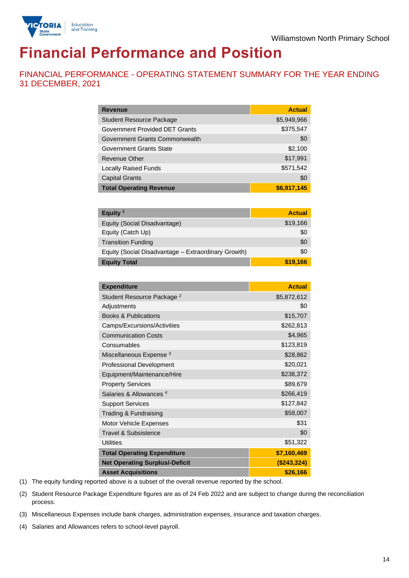

# **Financial Performance and Position**

FINANCIAL PERFORMANCE - OPERATING STATEMENT SUMMARY FOR THE YEAR ENDING 31 DECEMBER, 2021

| <b>Revenue</b>                  | <b>Actual</b> |
|---------------------------------|---------------|
| <b>Student Resource Package</b> | \$5,949,966   |
| Government Provided DET Grants  | \$375,547     |
| Government Grants Commonwealth  | \$0           |
| Government Grants State         | \$2,100       |
| Revenue Other                   | \$17,991      |
| <b>Locally Raised Funds</b>     | \$571,542     |
| <b>Capital Grants</b>           | \$0           |
| <b>Total Operating Revenue</b>  | \$6,917,145   |

| Equity <sup>1</sup>                                 | <b>Actual</b> |
|-----------------------------------------------------|---------------|
| Equity (Social Disadvantage)                        | \$19,166      |
| Equity (Catch Up)                                   | \$0           |
| <b>Transition Funding</b>                           | \$0           |
| Equity (Social Disadvantage - Extraordinary Growth) | \$0           |
| <b>Equity Total</b>                                 | \$19,166      |

| <b>Expenditure</b>                    | <b>Actual</b> |
|---------------------------------------|---------------|
| Student Resource Package <sup>2</sup> | \$5,872,612   |
| Adjustments                           | \$0           |
| <b>Books &amp; Publications</b>       | \$15,707      |
| Camps/Excursions/Activities           | \$262,813     |
| <b>Communication Costs</b>            | \$4,965       |
| Consumables                           | \$123,819     |
| Miscellaneous Expense <sup>3</sup>    | \$28,862      |
| <b>Professional Development</b>       | \$20,021      |
| Equipment/Maintenance/Hire            | \$238,372     |
| <b>Property Services</b>              | \$89,679      |
| Salaries & Allowances <sup>4</sup>    | \$266,419     |
| <b>Support Services</b>               | \$127,842     |
| Trading & Fundraising                 | \$58,007      |
| Motor Vehicle Expenses                | \$31          |
| Travel & Subsistence                  | \$0           |
| <b>Utilities</b>                      | \$51,322      |
| <b>Total Operating Expenditure</b>    | \$7,160,469   |
| <b>Net Operating Surplus/-Deficit</b> | (\$243,324)   |
| <b>Asset Acquisitions</b>             | \$26,166      |

(1) The equity funding reported above is a subset of the overall revenue reported by the school.

(2) Student Resource Package Expenditure figures are as of 24 Feb 2022 and are subject to change during the reconciliation process.

(3) Miscellaneous Expenses include bank charges, administration expenses, insurance and taxation charges.

(4) Salaries and Allowances refers to school-level payroll.